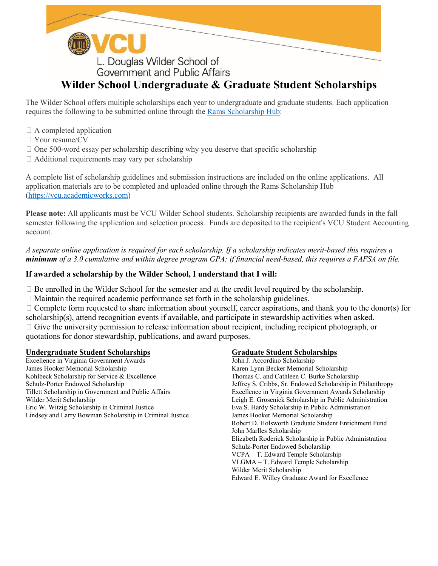

# **Wilder School Undergraduate & Graduate Student Scholarships**

The Wilder School offers multiple scholarships each year to undergraduate and graduate students. Each application requires the following to be submitted online through the [Rams Scholarship Hub:](https://vcu.academicworks.com/)

- $\Box$  A completed application
- Your resume/CV
- $\Box$  One 500-word essay per scholarship describing why you deserve that specific scholarship
- $\Box$  Additional requirements may vary per scholarship

A complete list of scholarship guidelines and submission instructions are included on the online applications. All application materials are to be completed and uploaded online through the Rams Scholarship Hub [\(https://vcu.academicworks.com\)](https://vcu.academicworks.com/)

**Please note:** All applicants must be VCU Wilder School students. Scholarship recipients are awarded funds in the fall semester following the application and selection process. Funds are deposited to the recipient's VCU Student Accounting account.

*A separate online application is required for each scholarship. If a scholarship indicates merit-based this requires a minimum of a 3.0 cumulative and within degree program GPA; if financial need-based, this requires a FAFSA on file.*

#### **If awarded a scholarship by the Wilder School, I understand that I will:**

 $\Box$  Be enrolled in the Wilder School for the semester and at the credit level required by the scholarship.

 $\Box$  Maintain the required academic performance set forth in the scholarship guidelines.

 $\Box$  Complete form requested to share information about yourself, career aspirations, and thank you to the donor(s) for scholarship(s), attend recognition events if available, and participate in stewardship activities when asked.  $\Box$  Give the university permission to release information about recipient, including recipient photograph, or quotations for donor stewardship, publications, and award purposes.

#### **Undergraduate Student Scholarships Graduate Student Scholarships**

Excellence in Virginia Government Awards John J. Accordino Scholarship James Hooker Memorial Scholarship Karen Lynn Becker Memorial Scholarship Karen Lynn Becker Memorial Scholarship Kohlbeck Scholarship for Service & Excellence Thomas C. and Cathleen C. Burke Scholarship Schulz-Porter Endowed Scholarship<br>
Tillett Scholarship in Government and Public Affairs<br>
Tillett Scholarship in Government and Public Affairs<br>
Tillett Scholarship in Government and Public Affairs<br>
Tillett Scholarship in Go Wilder Merit Scholarship **Leigh E. Grosenick Scholarship in Public Administration** Eric W. Witzig Scholarship in Criminal Justice Eva S. Hardy Scholarship in Public Administration Lindsey and Larry Bowman Scholarship in Criminal Justice James Hooker Memorial Scholarship

Excellence in Virginia Government Awards Scholarship Robert D. Holsworth Graduate Student Enrichment Fund John Marlles Scholarship Elizabeth Roderick Scholarship in Public Administration Schulz-Porter Endowed Scholarship VCPA – T. Edward Temple Scholarship VLGMA – T. Edward Temple Scholarship Wilder Merit Scholarship Edward E. Willey Graduate Award for Excellence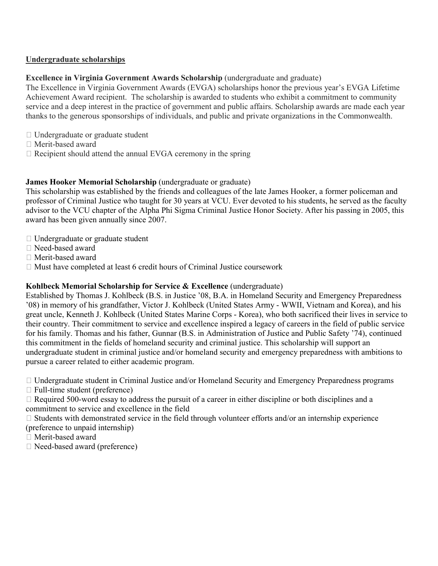#### **Undergraduate scholarships**

#### **Excellence in Virginia Government Awards Scholarship** (undergraduate and graduate)

The Excellence in Virginia Government Awards (EVGA) scholarships honor the previous year's EVGA Lifetime Achievement Award recipient. The scholarship is awarded to students who exhibit a commitment to community service and a deep interest in the practice of government and public affairs. Scholarship awards are made each year thanks to the generous sponsorships of individuals, and public and private organizations in the Commonwealth.

- Undergraduate or graduate student
- Merit-based award
- $\Box$  Recipient should attend the annual EVGA ceremony in the spring

#### **James Hooker Memorial Scholarship** (undergraduate or graduate)

This scholarship was established by the friends and colleagues of the late James Hooker, a former policeman and professor of Criminal Justice who taught for 30 years at VCU. Ever devoted to his students, he served as the faculty advisor to the VCU chapter of the Alpha Phi Sigma Criminal Justice Honor Society. After his passing in 2005, this award has been given annually since 2007.

- Undergraduate or graduate student
- Need-based award
- Merit-based award
- $\Box$  Must have completed at least 6 credit hours of Criminal Justice coursework

#### **Kohlbeck Memorial Scholarship for Service & Excellence** (undergraduate)

Established by Thomas J. Kohlbeck (B.S. in Justice '08, B.A. in Homeland Security and Emergency Preparedness '08) in memory of his grandfather, Victor J. Kohlbeck (United States Army - WWII, Vietnam and Korea), and his great uncle, Kenneth J. Kohlbeck (United States Marine Corps - Korea), who both sacrificed their lives in service to their country. Their commitment to service and excellence inspired a legacy of careers in the field of public service for his family. Thomas and his father, Gunnar (B.S. in Administration of Justice and Public Safety '74), continued this commitment in the fields of homeland security and criminal justice. This scholarship will support an undergraduate student in criminal justice and/or homeland security and emergency preparedness with ambitions to pursue a career related to either academic program.

Undergraduate student in Criminal Justice and/or Homeland Security and Emergency Preparedness programs

 $\Box$  Full-time student (preference)

 $\Box$  Required 500-word essay to address the pursuit of a career in either discipline or both disciplines and a commitment to service and excellence in the field

 $\Box$  Students with demonstrated service in the field through volunteer efforts and/or an internship experience (preference to unpaid internship)

- Merit-based award
- □ Need-based award (preference)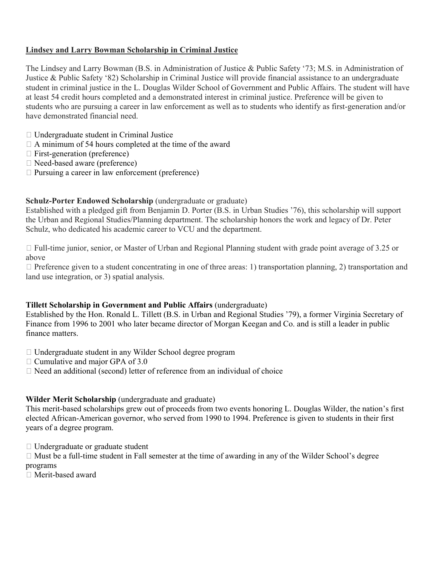# **Lindsey and Larry Bowman Scholarship in Criminal Justice**

The Lindsey and Larry Bowman (B.S. in Administration of Justice & Public Safety '73; M.S. in Administration of Justice & Public Safety '82) Scholarship in Criminal Justice will provide financial assistance to an undergraduate student in criminal justice in the L. Douglas Wilder School of Government and Public Affairs. The student will have at least 54 credit hours completed and a demonstrated interest in criminal justice. Preference will be given to students who are pursuing a career in law enforcement as well as to students who identify as first-generation and/or have demonstrated financial need.

- Undergraduate student in Criminal Justice
- $\Box$  A minimum of 54 hours completed at the time of the award
- $\Box$  First-generation (preference)
- □ Need-based aware (preference)
- $\Box$  Pursuing a career in law enforcement (preference)

#### **Schulz-Porter Endowed Scholarship** (undergraduate or graduate)

Established with a pledged gift from Benjamin D. Porter (B.S. in Urban Studies '76), this scholarship will support the Urban and Regional Studies/Planning department. The scholarship honors the work and legacy of Dr. Peter Schulz, who dedicated his academic career to VCU and the department.

 Full-time junior, senior, or Master of Urban and Regional Planning student with grade point average of 3.25 or above

 $\Box$  Preference given to a student concentrating in one of three areas: 1) transportation planning, 2) transportation and land use integration, or 3) spatial analysis.

#### **Tillett Scholarship in Government and Public Affairs** (undergraduate)

Established by the Hon. Ronald L. Tillett (B.S. in Urban and Regional Studies '79), a former Virginia Secretary of Finance from 1996 to 2001 who later became director of Morgan Keegan and Co. and is still a leader in public finance matters.

- □ Undergraduate student in any Wilder School degree program
- $\Box$  Cumulative and major GPA of 3.0
- $\Box$  Need an additional (second) letter of reference from an individual of choice

#### **Wilder Merit Scholarship** (undergraduate and graduate)

This merit-based scholarships grew out of proceeds from two events honoring L. Douglas Wilder, the nation's first elected African-American governor, who served from 1990 to 1994. Preference is given to students in their first years of a degree program.

Undergraduate or graduate student

 $\Box$  Must be a full-time student in Fall semester at the time of awarding in any of the Wilder School's degree programs

Merit-based award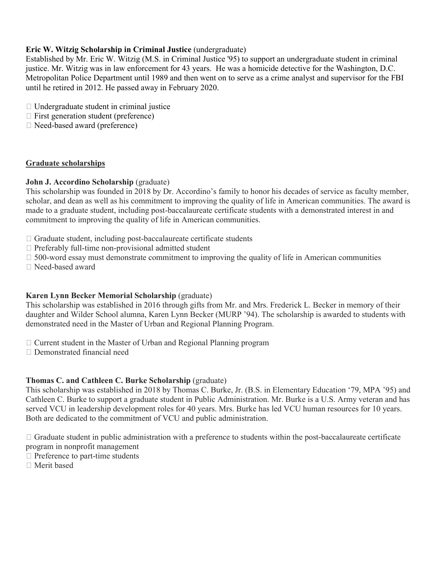# **Eric W. Witzig Scholarship in Criminal Justice** (undergraduate)

Established by Mr. Eric W. Witzig (M.S. in Criminal Justice '95) to support an undergraduate student in criminal justice. Mr. Witzig was in law enforcement for 43 years. He was a homicide detective for the Washington, D.C. Metropolitan Police Department until 1989 and then went on to serve as a crime analyst and supervisor for the FBI until he retired in 2012. He passed away in February 2020.

- $\Box$  Undergraduate student in criminal justice
- $\Box$  First generation student (preference)
- Need-based award (preference)

#### **Graduate scholarships**

#### **John J. Accordino Scholarship** (graduate)

This scholarship was founded in 2018 by Dr. Accordino's family to honor his decades of service as faculty member, scholar, and dean as well as his commitment to improving the quality of life in American communities. The award is made to a graduate student, including post-baccalaureate certificate students with a demonstrated interest in and commitment to improving the quality of life in American communities.

- $\Box$  Graduate student, including post-baccalaureate certificate students
- $\Box$  Preferably full-time non-provisional admitted student
- $\Box$  500-word essay must demonstrate commitment to improving the quality of life in American communities
- Need-based award

#### **Karen Lynn Becker Memorial Scholarship** (graduate)

This scholarship was established in 2016 through gifts from Mr. and Mrs. Frederick L. Becker in memory of their daughter and Wilder School alumna, Karen Lynn Becker (MURP '94). The scholarship is awarded to students with demonstrated need in the Master of Urban and Regional Planning Program.

- $\Box$  Current student in the Master of Urban and Regional Planning program
- Demonstrated financial need

# **Thomas C. and Cathleen C. Burke Scholarship** (graduate)

This scholarship was established in 2018 by Thomas C. Burke, Jr. (B.S. in Elementary Education '79, MPA '95) and Cathleen C. Burke to support a graduate student in Public Administration. Mr. Burke is a U.S. Army veteran and has served VCU in leadership development roles for 40 years. Mrs. Burke has led VCU human resources for 10 years. Both are dedicated to the commitment of VCU and public administration.

 $\Box$  Graduate student in public administration with a preference to students within the post-baccalaureate certificate

- program in nonprofit management  $\Box$  Preference to part-time students
- 
- Merit based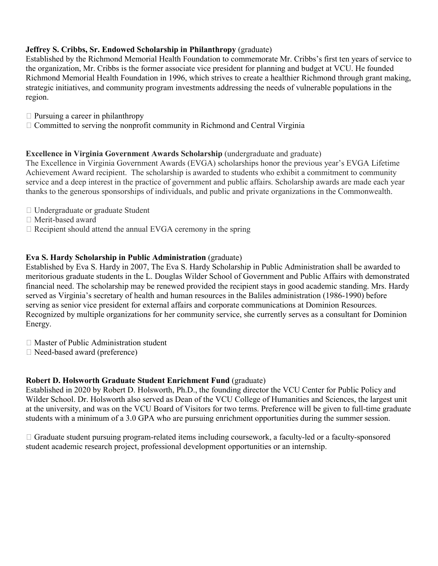# **Jeffrey S. Cribbs, Sr. Endowed Scholarship in Philanthropy** (graduate)

Established by the Richmond Memorial Health Foundation to commemorate Mr. Cribbs's first ten years of service to the organization, Mr. Cribbs is the former associate vice president for planning and budget at VCU. He founded Richmond Memorial Health Foundation in 1996, which strives to create a healthier Richmond through grant making, strategic initiatives, and community program investments addressing the needs of vulnerable populations in the region.

- $\Box$  Pursuing a career in philanthropy
- $\Box$  Committed to serving the nonprofit community in Richmond and Central Virginia

#### **Excellence in Virginia Government Awards Scholarship** (undergraduate and graduate)

The Excellence in Virginia Government Awards (EVGA) scholarships honor the previous year's EVGA Lifetime Achievement Award recipient. The scholarship is awarded to students who exhibit a commitment to community service and a deep interest in the practice of government and public affairs. Scholarship awards are made each year thanks to the generous sponsorships of individuals, and public and private organizations in the Commonwealth.

- Undergraduate or graduate Student
- Merit-based award
- $\Box$  Recipient should attend the annual EVGA ceremony in the spring

#### **Eva S. Hardy Scholarship in Public Administration** (graduate)

Established by Eva S. Hardy in 2007, The Eva S. Hardy Scholarship in Public Administration shall be awarded to meritorious graduate students in the L. Douglas Wilder School of Government and Public Affairs with demonstrated financial need. The scholarship may be renewed provided the recipient stays in good academic standing. Mrs. Hardy served as Virginia's secretary of health and human resources in the Baliles administration (1986-1990) before serving as senior vice president for external affairs and corporate communications at Dominion Resources. Recognized by multiple organizations for her community service, she currently serves as a consultant for Dominion Energy.

- Master of Public Administration student
- Need-based award (preference)

# **Robert D. Holsworth Graduate Student Enrichment Fund** (graduate)

Established in 2020 by Robert D. Holsworth, Ph.D., the founding director the VCU Center for Public Policy and Wilder School. Dr. Holsworth also served as Dean of the VCU College of Humanities and Sciences, the largest unit at the university, and was on the VCU Board of Visitors for two terms. Preference will be given to full-time graduate students with a minimum of a 3.0 GPA who are pursuing enrichment opportunities during the summer session.

 $\Box$  Graduate student pursuing program-related items including coursework, a faculty-led or a faculty-sponsored student academic research project, professional development opportunities or an internship.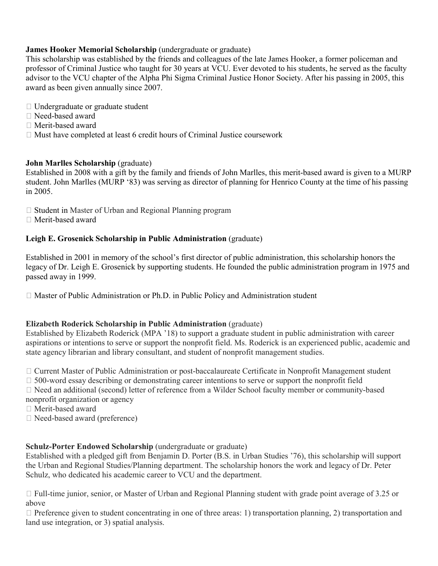# **James Hooker Memorial Scholarship** (undergraduate or graduate)

This scholarship was established by the friends and colleagues of the late James Hooker, a former policeman and professor of Criminal Justice who taught for 30 years at VCU. Ever devoted to his students, he served as the faculty advisor to the VCU chapter of the Alpha Phi Sigma Criminal Justice Honor Society. After his passing in 2005, this award as been given annually since 2007.

- □ Undergraduate or graduate student
- Need-based award
- Merit-based award
- $\Box$  Must have completed at least 6 credit hours of Criminal Justice coursework

# **John Marlles Scholarship** (graduate)

Established in 2008 with a gift by the family and friends of John Marlles, this merit-based award is given to a MURP student. John Marlles (MURP '83) was serving as director of planning for Henrico County at the time of his passing in 2005.

- $\Box$  Student in Master of Urban and Regional Planning program
- Merit-based award

# **Leigh E. Grosenick Scholarship in Public Administration** (graduate)

Established in 2001 in memory of the school's first director of public administration, this scholarship honors the legacy of Dr. Leigh E. Grosenick by supporting students. He founded the public administration program in 1975 and passed away in 1999.

 $\Box$  Master of Public Administration or Ph.D. in Public Policy and Administration student

# **Elizabeth Roderick Scholarship in Public Administration** (graduate)

Established by Elizabeth Roderick (MPA '18) to support a graduate student in public administration with career aspirations or intentions to serve or support the nonprofit field. Ms. Roderick is an experienced public, academic and state agency librarian and library consultant, and student of nonprofit management studies.

Current Master of Public Administration or post-baccalaureate Certificate in Nonprofit Management student

 $\Box$  500-word essay describing or demonstrating career intentions to serve or support the nonprofit field

 Need an additional (second) letter of reference from a Wilder School faculty member or community-based nonprofit organization or agency

- Merit-based award
- □ Need-based award (preference)

# **Schulz-Porter Endowed Scholarship** (undergraduate or graduate)

Established with a pledged gift from Benjamin D. Porter (B.S. in Urban Studies '76), this scholarship will support the Urban and Regional Studies/Planning department. The scholarship honors the work and legacy of Dr. Peter Schulz, who dedicated his academic career to VCU and the department.

 Full-time junior, senior, or Master of Urban and Regional Planning student with grade point average of 3.25 or above

 $\Box$  Preference given to student concentrating in one of three areas: 1) transportation planning, 2) transportation and land use integration, or 3) spatial analysis.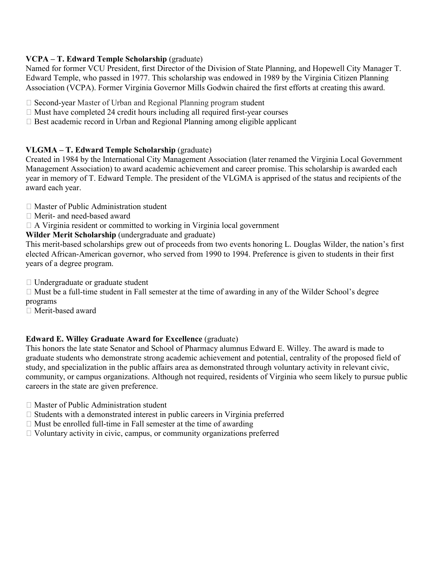# **VCPA – T. Edward Temple Scholarship** (graduate)

Named for former VCU President, first Director of the Division of State Planning, and Hopewell City Manager T. Edward Temple, who passed in 1977. This scholarship was endowed in 1989 by the Virginia Citizen Planning Association (VCPA). Former Virginia Governor Mills Godwin chaired the first efforts at creating this award.

 $\Box$  Second-year Master of Urban and Regional Planning program student

- $\Box$  Must have completed 24 credit hours including all required first-year courses
- $\Box$  Best academic record in Urban and Regional Planning among eligible applicant

# **VLGMA – T. Edward Temple Scholarship** (graduate)

Created in 1984 by the International City Management Association (later renamed the Virginia Local Government Management Association) to award academic achievement and career promise. This scholarship is awarded each year in memory of T. Edward Temple. The president of the VLGMA is apprised of the status and recipients of the award each year.

- Master of Public Administration student
- Merit- and need-based award

 $\Box$  A Virginia resident or committed to working in Virginia local government

**Wilder Merit Scholarship** (undergraduate and graduate)

This merit-based scholarships grew out of proceeds from two events honoring L. Douglas Wilder, the nation's first elected African-American governor, who served from 1990 to 1994. Preference is given to students in their first years of a degree program.

□ Undergraduate or graduate student

 $\Box$  Must be a full-time student in Fall semester at the time of awarding in any of the Wilder School's degree programs

Merit-based award

# **Edward E. Willey Graduate Award for Excellence** (graduate)

This honors the late state Senator and School of Pharmacy alumnus Edward E. Willey. The award is made to graduate students who demonstrate strong academic achievement and potential, centrality of the proposed field of study, and specialization in the public affairs area as demonstrated through voluntary activity in relevant civic, community, or campus organizations. Although not required, residents of Virginia who seem likely to pursue public careers in the state are given preference.

Master of Public Administration student

- $\Box$  Students with a demonstrated interest in public careers in Virginia preferred
- $\Box$  Must be enrolled full-time in Fall semester at the time of awarding
- $\Box$  Voluntary activity in civic, campus, or community organizations preferred